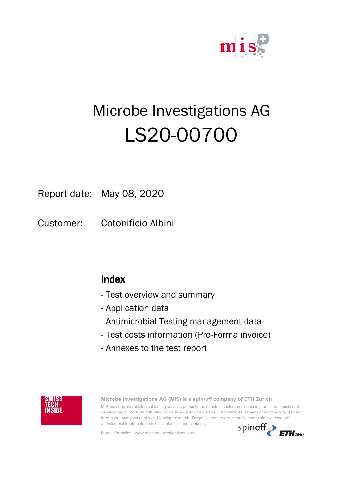

## ShiftRelativT Microbe Investigations AG LS20-00700

Report date: May 08, 2020

Customer: Cotonificio Albini

| Index                                        |
|----------------------------------------------|
| - Test overview and summary                  |
| - Application data                           |
| - Antimicrobial Testing management data      |
| - Test costs information (Pro-Forma invoice) |
| - Annexes to the test report                 |
|                                              |



**Microbe Investigations AG (MIS) is a spin-off company of ETH Zürich** MIS provides microbiological testing services primarily for industrial customers assessing the characteristics of developmental products. MIS also provides a depth of expertise in fundamental aspects of microbiology gained throughout many years of world-leading research. Target customers are primarily companies working with antimicrobial treatments on textiles, plastics, and coatings.

More information: www.microbe-investigations.com

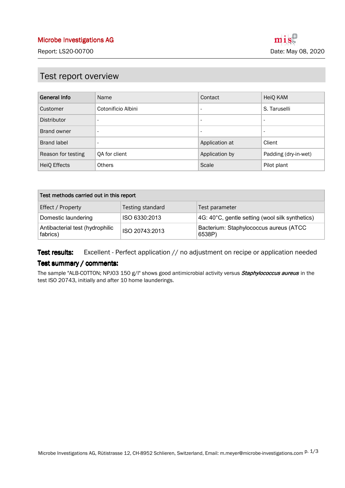### Test report overview

| <b>General Info</b> | Name                     | Contact                  | HeiQ KAM                 |
|---------------------|--------------------------|--------------------------|--------------------------|
| Customer            | Cotonificio Albini       | $\overline{\phantom{a}}$ | S. Taruselli             |
| <b>Distributor</b>  | $\overline{\phantom{a}}$ | $\overline{\phantom{a}}$ | $\overline{\phantom{0}}$ |
| Brand owner         | $\overline{\phantom{a}}$ | $\overline{\phantom{a}}$ | $\overline{\phantom{0}}$ |
| <b>Brand label</b>  | $\overline{\phantom{0}}$ | Application at           | Client                   |
| Reason for testing  | QA for client            | Application by           | Padding (dry-in-wet)     |
| HeiQ Effects        | <b>Others</b>            | Scale                    | Pilot plant              |

| Test methods carried out in this report     |                  |                                                  |
|---------------------------------------------|------------------|--------------------------------------------------|
| Effect / Property                           | Testing standard | Test parameter                                   |
| Domestic laundering                         | ISO 6330:2013    | 4G: 40°C, gentle setting (wool silk synthetics)  |
| Antibacterial test (hydrophilic<br>fabrics) | ISO 20743:2013   | Bacterium: Staphylococcus aureus (ATCC<br>6538P) |

Excellent - Perfect application // no adjustment on recipe or application needed Test results:

#### Test summary / comments:

The sample "ALB-COTTON; NPJ03 150 g/l" shows good antimicrobial activity versus **Staphylococcus aureus** in the test ISO 20743, initially and after 10 home launderings.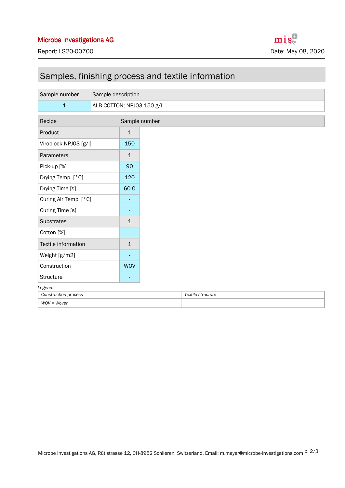## Samples, finishing process and textile information

| Sample number         | Sample description        |               |
|-----------------------|---------------------------|---------------|
| $\mathbf 1$           | ALB-COTTON; NPJ03 150 g/l |               |
| Recipe                |                           | Sample number |
| Product               |                           | $\mathbf{1}$  |
| Viroblock NPJ03 [g/l] |                           | 150           |
| Parameters            |                           | $\mathbf{1}$  |
| Pick-up [%]           |                           | 90            |
| Drying Temp. [°C]     |                           | 120           |
| Drying Time [s]       |                           | 60.0          |
| Curing Air Temp. [°C] |                           | ٠             |
| Curing Time [s]       |                           |               |
| Substrates            |                           | $\mathbf{1}$  |
| Cotton [%]            |                           |               |
| Textile information   |                           | $\mathbf{1}$  |
| Weight [g/m2]         |                           | ٠             |
| Construction          |                           | <b>WOV</b>    |
| Structure             |                           | ٠             |
| Legend:               |                           |               |

| process<br>Construction | `structure<br>extile<br>، ت<br>. |
|-------------------------|----------------------------------|
| $WOV = Woven$<br>,,     |                                  |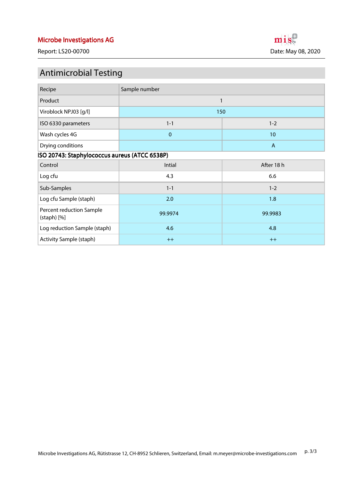Report: LS20-00700 **Date: May 08, 2020** 

# mis

## Antimicrobial Testing

| Recipe                                        | Sample number |            |  |
|-----------------------------------------------|---------------|------------|--|
| Product                                       | $\mathbf{1}$  |            |  |
| Viroblock NPJ03 [g/l]                         | 150           |            |  |
| ISO 6330 parameters                           | $1 - 1$       | $1 - 2$    |  |
| Wash cycles 4G                                | $\pmb{0}$     | 10         |  |
| Drying conditions                             | $\mathsf{A}$  |            |  |
| ISO 20743: Staphylococcus aureus (ATCC 6538P) |               |            |  |
| Control                                       | Intial        | After 18 h |  |
| Log cfu                                       | 4.3           | 6.6        |  |
| Sub-Samples                                   | $1 - 1$       | $1 - 2$    |  |
| Log cfu Sample (staph)                        | 2.0           | 1.8        |  |
| Percent reduction Sample<br>$(statoph)$ $[%]$ | 99.9974       | 99.9983    |  |
| Log reduction Sample (staph)                  | 4.6           | 4.8        |  |
| Activity Sample (staph)                       | $++$          | $++$       |  |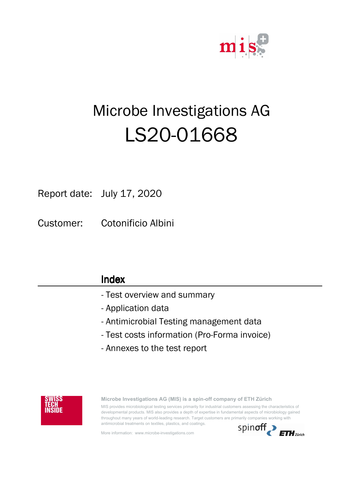

## ShiftRelativT Microbe Investigations AG LS20-01668

## Report date: July 17, 2020

Customer: Cotonificio Albini

| Index                                        |
|----------------------------------------------|
| - Test overview and summary                  |
| - Application data                           |
| - Antimicrobial Testing management data      |
| - Test costs information (Pro-Forma invoice) |
| - Annexes to the test report                 |
|                                              |



**Microbe Investigations AG (MIS) is a spin-off company of ETH Zürich** MIS provides microbiological testing services primarily for industrial customers assessing the characteristics of developmental products. MIS also provides a depth of expertise in fundamental aspects of microbiology gained throughout many years of world-leading research. Target customers are primarily companies working with antimicrobial treatments on textiles, plastics, and coatings.

More information: www.microbe-investigations.com

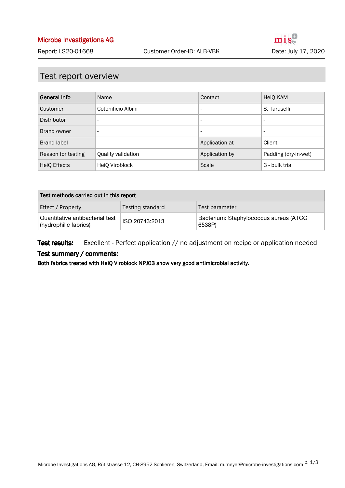### Test report overview

| <b>General Info</b> | Name                     | Contact                  | HeiQ KAM                 |
|---------------------|--------------------------|--------------------------|--------------------------|
| Customer            | Cotonificio Albini       | $\overline{\phantom{0}}$ | S. Taruselli             |
| Distributor         | $\overline{\phantom{a}}$ | $\overline{\phantom{a}}$ | $\overline{\phantom{a}}$ |
| Brand owner         | $\overline{\phantom{a}}$ | $\overline{\phantom{0}}$ | $\overline{\phantom{0}}$ |
| <b>Brand label</b>  | $\overline{\phantom{a}}$ | Application at           | Client                   |
| Reason for testing  | Quality validation       | Application by           | Padding (dry-in-wet)     |
| HeiQ Effects        | HeiQ Viroblock           | Scale                    | 3 - bulk trial           |

| Test methods carried out in this report                  |                  |                                                  |
|----------------------------------------------------------|------------------|--------------------------------------------------|
| Effect / Property                                        | Testing standard | Test parameter                                   |
| Quantitative antibacterial test<br>(hydrophilic fabrics) | ISO 20743:2013   | Bacterium: Staphylococcus aureus (ATCC<br>6538P) |

Excellent - Perfect application // no adjustment on recipe or application needed Test results:

#### Test summary / comments:

Both fabrics treated with HeiQ Viroblock NPJ03 show very good antimicrobial activity.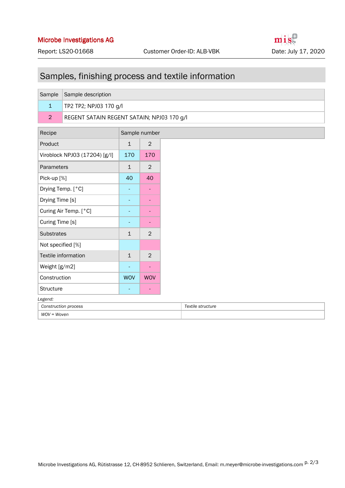## Samples, finishing process and textile information

| Sample Sample description                  |
|--------------------------------------------|
| <b>TP2 TP2; NPJ03 170 g/l</b>              |
| REGENT SATAIN REGENT SATAIN; NPJ03 170 g/l |
|                                            |

| Recipe                        |              | Sample number  |
|-------------------------------|--------------|----------------|
| Product                       | $\mathbf{1}$ | $\mathfrak{D}$ |
| Viroblock NPJ03 (17204) [g/l] | 170          | 170            |
| Parameters                    | $\mathbf{1}$ | $\mathfrak{D}$ |
| Pick-up [%]                   | 40           | 40             |
| Drying Temp. [°C]             |              |                |
| Drying Time [s]               |              |                |
| Curing Air Temp. [°C]         |              |                |
| Curing Time [s]               |              |                |
| <b>Substrates</b>             | $\mathbf{1}$ | $\mathfrak{D}$ |
| Not specified [%]             |              |                |
| Textile information           | $\mathbf{1}$ | $\mathcal{P}$  |
| Weight [g/m2]                 |              |                |
| Construction                  | <b>WOV</b>   | <b>WOV</b>     |
| Structure                     |              |                |
| Legend:                       |              |                |
| <b>Construction process</b>   |              |                |

*WOV = Woven*

| . טוויט                     |                   |  |  |
|-----------------------------|-------------------|--|--|
| <b>Construction process</b> | Textile structure |  |  |
| WOV = Woven                 |                   |  |  |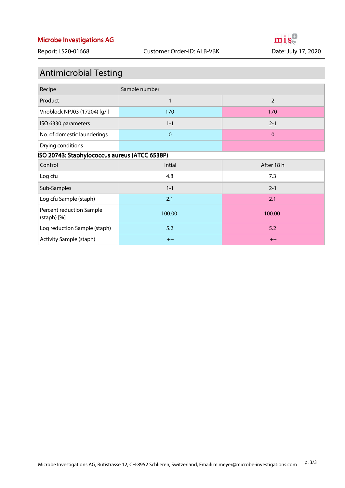## Antimicrobial Testing

| Recipe                                        | Sample number |                |  |  |  |
|-----------------------------------------------|---------------|----------------|--|--|--|
| Product                                       | 1             | $\overline{2}$ |  |  |  |
| Viroblock NPJ03 (17204) [g/l]                 | 170           | 170            |  |  |  |
| ISO 6330 parameters                           | $1 - 1$       | $2 - 1$        |  |  |  |
| No. of domestic launderings                   | $\mathbf 0$   | $\mathbf{0}$   |  |  |  |
| Drying conditions                             |               |                |  |  |  |
| ISO 20743: Staphylococcus aureus (ATCC 6538P) |               |                |  |  |  |
| Control                                       | Intial        | After 18 h     |  |  |  |
| Log cfu                                       | 4.8           | 7.3            |  |  |  |
| Sub-Samples                                   | $1 - 1$       | $2 - 1$        |  |  |  |
| Log cfu Sample (staph)                        | 2.1           | 2.1            |  |  |  |
| Percent reduction Sample<br>$(statoph)$ $[%]$ | 100.00        | 100.00         |  |  |  |
| Log reduction Sample (staph)                  | 5.2           | 5.2            |  |  |  |
| Activity Sample (staph)                       | $++$          | $++$           |  |  |  |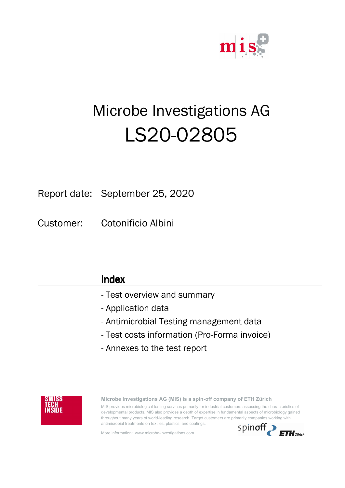

## ShiftRelativT Microbe Investigations AG LS20-02805

## Report date: September 25, 2020

Customer: Cotonificio Albini

| Index                                        |
|----------------------------------------------|
| - Test overview and summary                  |
| - Application data                           |
| - Antimicrobial Testing management data      |
| - Test costs information (Pro-Forma invoice) |
| - Annexes to the test report                 |
|                                              |



**Microbe Investigations AG (MIS) is a spin-off company of ETH Zürich** MIS provides microbiological testing services primarily for industrial customers assessing the characteristics of developmental products. MIS also provides a depth of expertise in fundamental aspects of microbiology gained throughout many years of world-leading research. Target customers are primarily companies working with antimicrobial treatments on textiles, plastics, and coatings.

More information: www.microbe-investigations.com

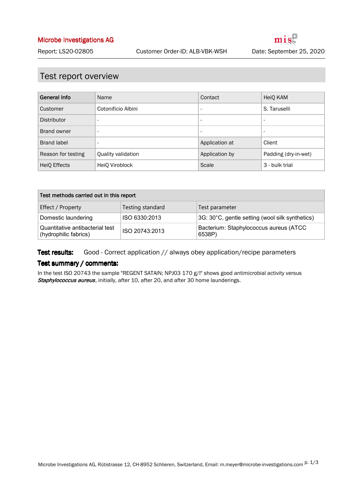### Test report overview

| <b>General Info</b> | Name                     | Contact                  | HeiQ KAM                 |
|---------------------|--------------------------|--------------------------|--------------------------|
| Customer            | Cotonificio Albini       | $\overline{\phantom{a}}$ | S. Taruselli             |
| Distributor         | $\overline{\phantom{a}}$ | $\overline{\phantom{a}}$ | $\overline{\phantom{a}}$ |
| Brand owner         | $\overline{\phantom{a}}$ | $\overline{\phantom{a}}$ | $\overline{\phantom{a}}$ |
| <b>Brand label</b>  | $\overline{\phantom{a}}$ | Application at           | Client                   |
| Reason for testing  | Quality validation       | Application by           | Padding (dry-in-wet)     |
| HeiQ Effects        | HeiQ Viroblock           | Scale                    | 3 - bulk trial           |

| Test methods carried out in this report                  |                |                                                  |  |  |
|----------------------------------------------------------|----------------|--------------------------------------------------|--|--|
| Testing standard<br>Effect / Property<br>Test parameter  |                |                                                  |  |  |
| Domestic laundering                                      | ISO 6330:2013  | 3G: 30°C, gentle setting (wool silk synthetics)  |  |  |
| Quantitative antibacterial test<br>(hydrophilic fabrics) | ISO 20743:2013 | Bacterium: Staphylococcus aureus (ATCC<br>6538P) |  |  |

#### Good - Correct application // always obey application/recipe parameters Test results:

#### Test summary / comments:

In the test ISO 20743 the sample "REGENT SATAIN; NPJ03 170 g/l" shows good antimicrobial activity versus Staphylococcus aureus, initially, after 10, after 20, and after 30 home launderings.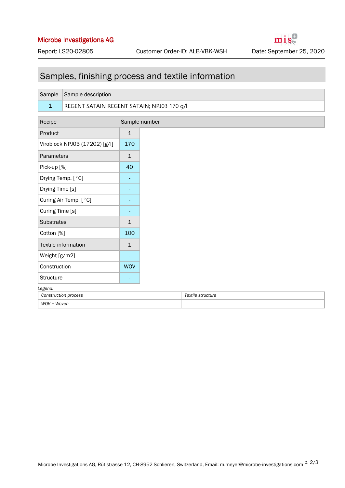mist

## Samples, finishing process and textile information

| Sample               | Sample description                         |                          |
|----------------------|--------------------------------------------|--------------------------|
|                      |                                            |                          |
| $\mathbf{1}$         | REGENT SATAIN REGENT SATAIN; NPJ03 170 g/l |                          |
| Recipe               |                                            | Sample number            |
| Product              |                                            | $\mathbf{1}$             |
|                      | Viroblock NPJ03 (17202) [g/l]              | 170                      |
| Parameters           |                                            | $\mathbf{1}$             |
| Pick-up [%]          |                                            | 40                       |
|                      | Drying Temp. [°C]                          | $\overline{\phantom{a}}$ |
| Drying Time [s]      |                                            |                          |
|                      | Curing Air Temp. [°C]                      |                          |
| Curing Time [s]      |                                            |                          |
| <b>Substrates</b>    |                                            | $\mathbf{1}$             |
| Cotton [%]           |                                            | 100                      |
|                      | Textile information                        | $\mathbf{1}$             |
| Weight [g/m2]        |                                            | $\overline{\phantom{a}}$ |
| Construction         |                                            | <b>WOV</b>               |
| Structure            |                                            | ٠                        |
| Legend:              |                                            |                          |
| Construction process |                                            |                          |

*WOV = Woven*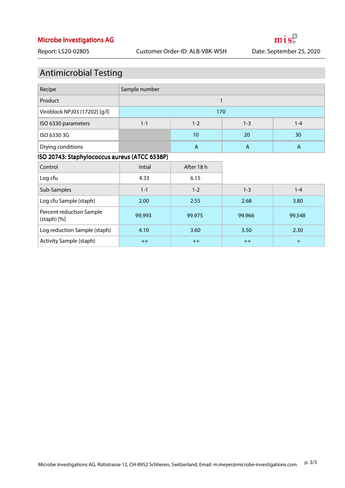mis

## Antimicrobial Testing

| Recipe                        | Sample number                            |    |    |    |
|-------------------------------|------------------------------------------|----|----|----|
| Product                       |                                          |    |    |    |
| Viroblock NPJ03 (17202) [g/l] | 170                                      |    |    |    |
| ISO 6330 parameters           | $1 - 1$<br>$1 - 3$<br>$1 - 2$<br>$1 - 4$ |    |    |    |
| ISO 6330 3G                   |                                          | 10 | 20 | 30 |
| Drying conditions             |                                          | А  | Α  | А  |

#### ISO 20743: Staphylococcus aureus (ATCC 6538P)

| Control                                       | Intial  | After 18 h |         |         |
|-----------------------------------------------|---------|------------|---------|---------|
| Log cfu                                       | 4.33    | 6.15       |         |         |
| Sub-Samples                                   | $1 - 1$ | $1 - 2$    | $1 - 3$ | $1 - 4$ |
| Log cfu Sample (staph)                        | 2.00    | 2.55       | 2.68    | 3.80    |
| Percent reduction Sample<br>$(statoph)$ $[%]$ | 99.993  | 99.975     | 99.966  | 99.548  |
| Log reduction Sample (staph)                  | 4.10    | 3.60       | 3.50    | 2.30    |
| Activity Sample (staph)                       | $++$    | $++$       | $++$    | $+$     |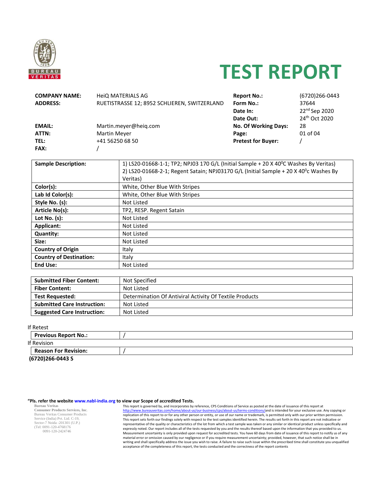

# **TEST REPORT**

| <b>COMPANY NAME:</b>                | <b>HeIQ MATERIALS AG</b>                     |                                                                                                   | <b>Report No.:</b>          | (6720)266-0443            |  |  |
|-------------------------------------|----------------------------------------------|---------------------------------------------------------------------------------------------------|-----------------------------|---------------------------|--|--|
| <b>ADDRESS:</b>                     | RUETISTRASSE 12; 8952 SCHLIEREN, SWITZERLAND |                                                                                                   | Form No.:                   | 37644                     |  |  |
|                                     |                                              |                                                                                                   | Date In:                    | 22 <sup>nd</sup> Sep 2020 |  |  |
|                                     |                                              |                                                                                                   | Date Out:                   | 24 <sup>th</sup> Oct 2020 |  |  |
| <b>EMAIL:</b>                       |                                              | Martin.meyer@heiq.com                                                                             | <b>No. Of Working Days:</b> | 28                        |  |  |
| ATTN:                               | Martin Meyer                                 |                                                                                                   | Page:                       | 01 of 04                  |  |  |
| TEL:                                | +41 56250 68 50                              |                                                                                                   | <b>Pretest for Buyer:</b>   |                           |  |  |
| FAX:                                |                                              |                                                                                                   |                             |                           |  |  |
|                                     |                                              |                                                                                                   |                             |                           |  |  |
| <b>Sample Description:</b>          |                                              | 1) LS20-01668-1-1; TP2; NPJ03 170 G/L (Initial Sample + 20 X 40 <sup>o</sup> C Washes By Veritas) |                             |                           |  |  |
|                                     |                                              | 2) LS20-01668-2-1; Regent Satain; NPJ03170 G/L (Initial Sample + 20 X 40 <sup>0</sup> c Washes By |                             |                           |  |  |
|                                     | Veritas)                                     |                                                                                                   |                             |                           |  |  |
| Color(s):                           |                                              | White, Other Blue With Stripes                                                                    |                             |                           |  |  |
| Lab Id Color(s):                    |                                              | White, Other Blue With Stripes                                                                    |                             |                           |  |  |
| <b>Not Listed</b><br>Style No. (s): |                                              |                                                                                                   |                             |                           |  |  |
| Article No(s):                      |                                              | TP2, RESP. Regent Satain                                                                          |                             |                           |  |  |
| Lot No. $(s)$ :                     |                                              | Not Listed                                                                                        |                             |                           |  |  |
| <b>Applicant:</b>                   | Not Listed                                   |                                                                                                   |                             |                           |  |  |
| <b>Quantity:</b>                    |                                              | Not Listed                                                                                        |                             |                           |  |  |
| Size:                               |                                              | Not Listed                                                                                        |                             |                           |  |  |
| <b>Country of Origin</b><br>Italy   |                                              |                                                                                                   |                             |                           |  |  |
| <b>Country of Destination:</b>      | Italy                                        |                                                                                                   |                             |                           |  |  |
| <b>End Use:</b>                     |                                              | Not Listed                                                                                        |                             |                           |  |  |
|                                     |                                              |                                                                                                   |                             |                           |  |  |

| <b>Submitted Fiber Content:</b>    | Not Specified                                           |
|------------------------------------|---------------------------------------------------------|
| <b>Fiber Content:</b>              | Not Listed                                              |
| <b>Test Requested:</b>             | Determination Of Antiviral Activity Of Textile Products |
| <b>Submitted Care Instruction:</b> | Not Listed                                              |
| <b>Suggested Care Instruction:</b> | Not Listed                                              |

If Retest

| 11 INCLCJL                  |  |
|-----------------------------|--|
| <b>Previous Report No.:</b> |  |
| If Revision                 |  |
| Reason For Revision:        |  |
| (6720)266-0443 S            |  |

#### **"Pls. refer the website www.nabl-india.org to view our Scope of accredited Tests.**

**Bureau Veritas Consumer Products Services, Inc**. Bureau Veritas Consumer Products Service (India) Pvt. Ltd. C-19, Sector-7 Noida -201301 (U.P.) (Tel: 0091-120-4768176 0091-120-2424746

This report is governed by, and incorporates by reference, CPS Conditions of Service as posted at the date of issuance of this report at http://www.bureauveritas.com/home/about-us/our-business/cps/about-us/terms-conditions/and is intended for your exclusive use. Any copying or replication of this report to or for any other person or entity, or use of our name or trademark, is permitted only with our prior written permission. This report sets forth our findings solely with respect to the test samples identified herein. The results set forth in this report are not indicative or representative of the quality or characteristics of the lot from which a test sample was taken or any similar or identical product unless specifically and expressly noted. Our report includes all of the tests requested by you and the results thereof based upon the information that you provided to us. Measurement uncertainty is only provided upon request for accredited tests. You have 60 days from date of issuance of this report to notify us of any material error or omission caused by our negligence or if you require measurement uncertainty; provided, however, that such notice shall be in writing and shall specifically address the issue you wish to raise. A failure to raise such issue within the prescribed time shall constitute you unqualified acceptance of the completeness of this report, the tests conducted and the correctness of the report contents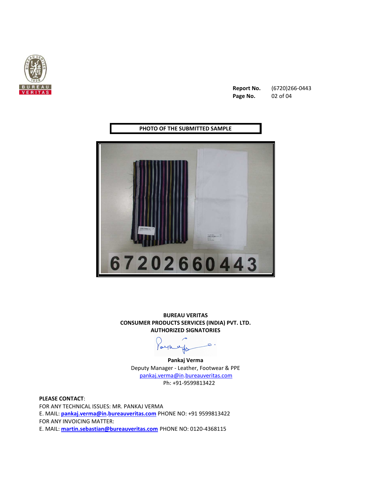

**Report No.** (6720)266-0443 **Page No.** 02 of 04

**PHOTO OF THE SUBMITTED SAMPLE** 



**BUREAU VERITAS CONSUMER PRODUCTS SERVICES (INDIA) PVT. LTD. AUTHORIZED SIGNATORIES** 

Faykings

**Pankaj Verma** Deputy Manager - Leather, Footwear & PPE pankaj.verma@in.bureauveritas.com Ph: +91-9599813422

**PLEASE CONTACT**: FOR ANY TECHNICAL ISSUES: MR. PANKAJ VERMA E. MAIL: **pankaj.verma@in.bureauveritas.com** PHONE NO: +91 9599813422 FOR ANY INVOICING MATTER: E. MAIL: **martin.sebastian@bureauveritas.com** PHONE NO: 0120-4368115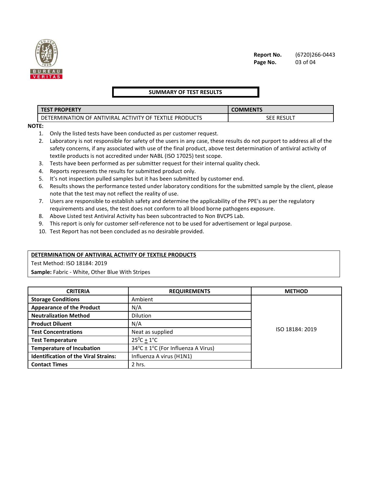

#### **SUMMARY OF TEST RESULTS**

| <b>PROPERTY</b><br><b>TEST</b>                                                         | COMMENTS      |  |
|----------------------------------------------------------------------------------------|---------------|--|
| <b>PRODUCTS</b><br>: ANTIVIRAL ACTIVITY OF :<br><b>TEXTILE</b><br>FERMINATION OF<br>DE | RESULT<br>SEE |  |

**NOTE:** 

- 1. Only the listed tests have been conducted as per customer request.
- 2. Laboratory is not responsible for safety of the users in any case, these results do not purport to address all of the safety concerns, if any associated with use of the final product, above test determination of antiviral activity of textile products is not accredited under NABL (ISO 17025) test scope.
- 3. Tests have been performed as per submitter request for their internal quality check.
- 4. Reports represents the results for submitted product only.
- 5. It's not inspection pulled samples but it has been submitted by customer end.
- 6. Results shows the performance tested under laboratory conditions for the submitted sample by the client, please note that the test may not reflect the reality of use.
- 7. Users are responsible to establish safety and determine the applicability of the PPE's as per the regulatory requirements and uses, the test does not conform to all blood borne pathogens exposure.
- 8. Above Listed test Antiviral Activity has been subcontracted to Non BVCPS Lab.
- 9. This report is only for customer self-reference not to be used for advertisement or legal purpose.
- 10. Test Report has not been concluded as no desirable provided.

#### **DETERMINATION OF ANTIVIRAL ACTIVITY OF TEXTILE PRODUCTS**

Test Method: ISO 18184: 2019

**Sample:** Fabric - White, Other Blue With Stripes

| <b>CRITERIA</b>                             | <b>REQUIREMENTS</b>                | <b>METHOD</b>   |
|---------------------------------------------|------------------------------------|-----------------|
| <b>Storage Conditions</b>                   | Ambient                            |                 |
| <b>Appearance of the Product</b>            | N/A                                |                 |
| <b>Neutralization Method</b>                | <b>Dilution</b>                    |                 |
| <b>Product Diluent</b>                      | N/A                                |                 |
| <b>Test Concentrations</b>                  | Neat as supplied                   | ISO 18184: 2019 |
| <b>Test Temperature</b>                     | $25^0C + 1^0C$                     |                 |
| <b>Temperature of Incubation</b>            | 34°C ± 1°C (For Influenza A Virus) |                 |
| <b>Identification of the Viral Strains:</b> | Influenza A virus (H1N1)           |                 |
| <b>Contact Times</b>                        | 2 hrs.                             |                 |